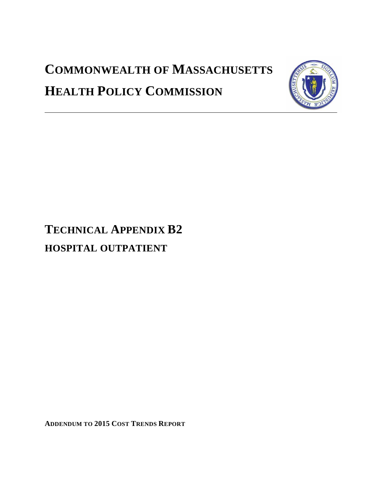# **COMMONWEALTH OF MASSACHUSETTS HEALTH POLICY COMMISSION**



# **TECHNICAL APPENDIX B2 HOSPITAL OUTPATIENT**

**ADDENDUM TO 2015 COST TRENDS REPORT**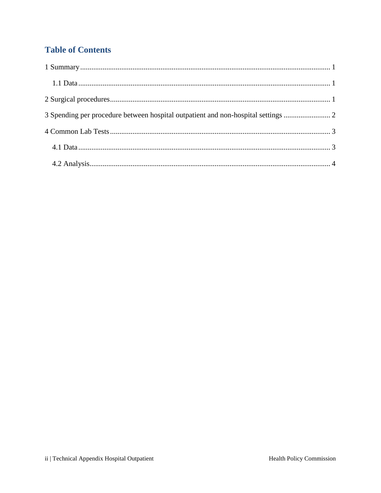# **Table of Contents**

| 3 Spending per procedure between hospital outpatient and non-hospital settings |
|--------------------------------------------------------------------------------|
|                                                                                |
|                                                                                |
|                                                                                |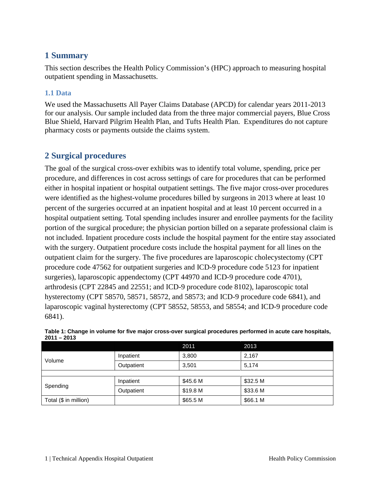### <span id="page-2-0"></span>**1 Summary**

This section describes the Health Policy Commission's (HPC) approach to measuring hospital outpatient spending in Massachusetts.

### <span id="page-2-1"></span>**1.1 Data**

We used the Massachusetts All Payer Claims Database (APCD) for calendar years 2011-2013 for our analysis. Our sample included data from the three major commercial payers, Blue Cross Blue Shield, Harvard Pilgrim Health Plan, and Tufts Health Plan. Expenditures do not capture pharmacy costs or payments outside the claims system.

## <span id="page-2-2"></span>**2 Surgical procedures**

The goal of the surgical cross-over exhibits was to identify total volume, spending, price per procedure, and differences in cost across settings of care for procedures that can be performed either in hospital inpatient or hospital outpatient settings. The five major cross-over procedures were identified as the highest-volume procedures billed by surgeons in 2013 where at least 10 percent of the surgeries occurred at an inpatient hospital and at least 10 percent occurred in a hospital outpatient setting. Total spending includes insurer and enrollee payments for the facility portion of the surgical procedure; the physician portion billed on a separate professional claim is not included. Inpatient procedure costs include the hospital payment for the entire stay associated with the surgery. Outpatient procedure costs include the hospital payment for all lines on the outpatient claim for the surgery. The five procedures are laparoscopic cholecystectomy (CPT procedure code 47562 for outpatient surgeries and ICD-9 procedure code 5123 for inpatient surgeries), laparoscopic appendectomy (CPT 44970 and ICD-9 procedure code 4701), arthrodesis (CPT 22845 and 22551; and ICD-9 procedure code 8102), laparoscopic total hysterectomy (CPT 58570, 58571, 58572, and 58573; and ICD-9 procedure code 6841), and laparoscopic vaginal hysterectomy (CPT 58552, 58553, and 58554; and ICD-9 procedure code 6841).

|                       |            | 2011     | 2013     |  |
|-----------------------|------------|----------|----------|--|
| Volume                | Inpatient  | 3,800    | 2,167    |  |
|                       | Outpatient | 3,501    | 5,174    |  |
|                       |            |          |          |  |
| Spending              | Inpatient  | \$45.6 M | \$32.5 M |  |
|                       | Outpatient | \$19.8 M | \$33.6 M |  |
| Total (\$ in million) |            | \$65.5 M | \$66.1 M |  |

| Table 1: Change in volume for five major cross-over surgical procedures performed in acute care hospitals, |  |
|------------------------------------------------------------------------------------------------------------|--|
| $2011 - 2013$                                                                                              |  |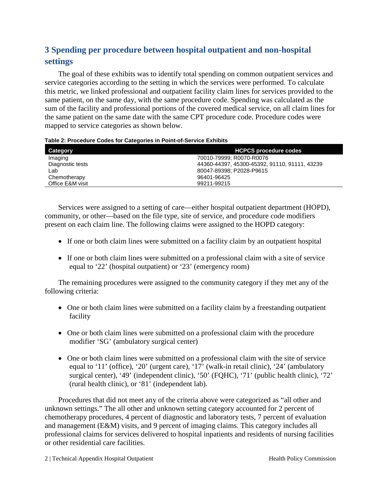# <span id="page-3-0"></span>**3 Spending per procedure between hospital outpatient and non-hospital settings**

The goal of these exhibits was to identify total spending on common outpatient services and service categories according to the setting in which the services were performed. To calculate this metric, we linked professional and outpatient facility claim lines for services provided to the same patient, on the same day, with the same procedure code. Spending was calculated as the sum of the facility and professional portions of the covered medical service, on all claim lines for the same patient on the same date with the same CPT procedure code. Procedure codes were mapped to service categories as shown below.

| Table 2: Procedure Codes for Categories in Point-of-Service Exhibits |
|----------------------------------------------------------------------|
|----------------------------------------------------------------------|

| Category         | <b>HCPCS procedure codes</b>                  |
|------------------|-----------------------------------------------|
| Imaging          | 70010-79999: R0070-R0076                      |
| Diagnostic tests | 44360-44397, 45300-45392, 91110, 91111, 43239 |
| Lab              | 80047-89398; P2028-P9615                      |
| Chemotherapy     | 96401-96425                                   |
| Office E&M visit | 99211-99215                                   |

Services were assigned to a setting of care—either hospital outpatient department (HOPD), community, or other—based on the file type, site of service, and procedure code modifiers present on each claim line. The following claims were assigned to the HOPD category:

- If one or both claim lines were submitted on a facility claim by an outpatient hospital
- If one or both claim lines were submitted on a professional claim with a site of service equal to '22' (hospital outpatient) or '23' (emergency room)

The remaining procedures were assigned to the community category if they met any of the following criteria:

- One or both claim lines were submitted on a facility claim by a freestanding outpatient facility
- One or both claim lines were submitted on a professional claim with the procedure modifier 'SG' (ambulatory surgical center)
- One or both claim lines were submitted on a professional claim with the site of service equal to '11' (office), '20' (urgent care), '17' (walk-in retail clinic), '24' (ambulatory surgical center), '49' (independent clinic), '50' (FQHC), '71' (public health clinic), '72' (rural health clinic), or '81' (independent lab).

Procedures that did not meet any of the criteria above were categorized as "all other and unknown settings." The all other and unknown setting category accounted for 2 percent of chemotherapy procedures, 4 percent of diagnostic and laboratory tests, 7 percent of evaluation and management (E&M) visits, and 9 percent of imaging claims. This category includes all professional claims for services delivered to hospital inpatients and residents of nursing facilities or other residential care facilities.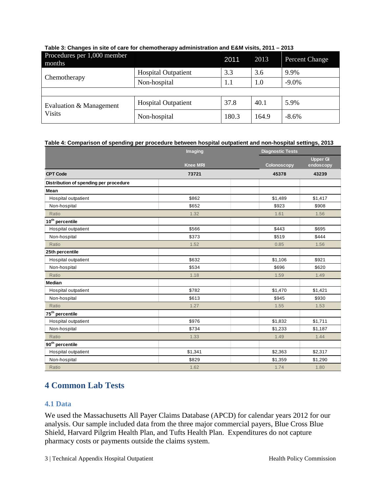| Procedures per 1,000 member<br>months    |                            | 2011  | 2013  | Percent Change |
|------------------------------------------|----------------------------|-------|-------|----------------|
|                                          | <b>Hospital Outpatient</b> | 3.3   | 3.6   | 9.9%           |
| Chemotherapy                             | Non-hospital               | 1.1   | 1.0   | $-9.0\%$       |
|                                          |                            |       |       |                |
| Evaluation & Management<br><b>Visits</b> | <b>Hospital Outpatient</b> | 37.8  | 40.1  | 5.9%           |
|                                          | Non-hospital               | 180.3 | 164.9 | $-8.6\%$       |

## **Table 3: Changes in site of care for chemotherapy administration and E&M visits, 2011 – 2013**

#### **Table 4: Comparison of spending per procedure between hospital outpatient and non-hospital settings, 2013**

|                                        | Imaging         |                    | <b>Diagnostic Tests</b>      |  |  |
|----------------------------------------|-----------------|--------------------|------------------------------|--|--|
|                                        | <b>Knee MRI</b> | <b>Colonoscopy</b> | <b>Upper GI</b><br>endoscopy |  |  |
| <b>CPT Code</b>                        | 73721           | 45378              | 43239                        |  |  |
| Distribution of spending per procedure |                 |                    |                              |  |  |
| Mean                                   |                 |                    |                              |  |  |
| Hospital outpatient                    | \$862           | \$1,489            | \$1,417                      |  |  |
| Non-hospital                           | \$652           | \$923              | \$908                        |  |  |
| Ratio                                  | 1.32            | 1.61               | 1.56                         |  |  |
| 10 <sup>th</sup> percentile            |                 |                    |                              |  |  |
| Hospital outpatient                    | \$566           | \$443              | \$695                        |  |  |
| Non-hospital                           | \$373           | \$519              | \$444                        |  |  |
| Ratio                                  | 1.52            | 0.85               | 1.56                         |  |  |
| 25th percentile                        |                 |                    |                              |  |  |
| Hospital outpatient                    | \$632           | \$1,106            | \$921                        |  |  |
| Non-hospital                           | \$534           | \$696              | \$620                        |  |  |
| Ratio                                  | 1.18            | 1.59               | 1.49                         |  |  |
| <b>Median</b>                          |                 |                    |                              |  |  |
| Hospital outpatient                    | \$782           | \$1,470            | \$1,421                      |  |  |
| Non-hospital                           | \$613           | \$945              | \$930                        |  |  |
| Ratio                                  | 1.27            | 1.55               | 1.53                         |  |  |
| 75 <sup>th</sup> percentile            |                 |                    |                              |  |  |
| Hospital outpatient                    | \$976           | \$1,832            | \$1,711                      |  |  |
| Non-hospital                           | \$734           | \$1,233            | \$1,187                      |  |  |
| Ratio                                  | 1.33            | 1.49               | 1.44                         |  |  |
| 90 <sup>th</sup> percentile            |                 |                    |                              |  |  |
| Hospital outpatient                    | \$1,341         | \$2,363            | \$2,317                      |  |  |
| Non-hospital                           | \$829           | \$1,359            | \$1,290                      |  |  |
| Ratio                                  | 1.62            | 1.74               | 1.80                         |  |  |

# <span id="page-4-0"></span>**4 Common Lab Tests**

#### <span id="page-4-1"></span>**4.1 Data**

We used the Massachusetts All Payer Claims Database (APCD) for calendar years 2012 for our analysis. Our sample included data from the three major commercial payers, Blue Cross Blue Shield, Harvard Pilgrim Health Plan, and Tufts Health Plan. Expenditures do not capture pharmacy costs or payments outside the claims system.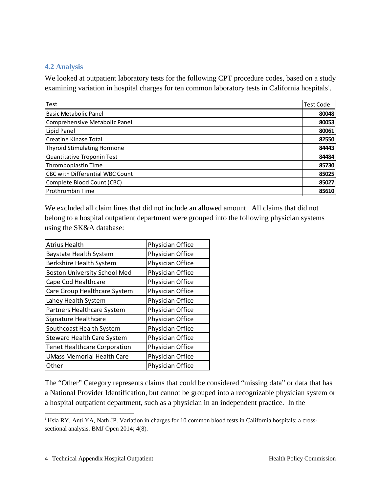#### <span id="page-5-0"></span>**4.2 Analysis**

We looked at outpatient laboratory tests for the following CPT procedure codes, based on a study exam[i](#page-5-1)ning variation in hospital charges for ten common laboratory tests in California hospitals<sup>i</sup>.

| Test                                   | <b>Test Code</b> |
|----------------------------------------|------------------|
| <b>Basic Metabolic Panel</b>           | 80048            |
| Comprehensive Metabolic Panel          | 80053            |
| Lipid Panel                            | 80061            |
| <b>Creatine Kinase Total</b>           | 82550            |
| <b>Thyroid Stimulating Hormone</b>     | 84443            |
| Quantitative Troponin Test             | 84484            |
| Thromboplastin Time                    | 85730            |
| <b>CBC with Differential WBC Count</b> | 85025            |
| Complete Blood Count (CBC)             | 85027            |
| Prothrombin Time                       | 85610            |

We excluded all claim lines that did not include an allowed amount. All claims that did not belong to a hospital outpatient department were grouped into the following physician systems using the SK&A database:

| <b>Atrius Health</b>                | Physician Office |
|-------------------------------------|------------------|
| <b>Baystate Health System</b>       | Physician Office |
| Berkshire Health System             | Physician Office |
| <b>Boston University School Med</b> | Physician Office |
| Cape Cod Healthcare                 | Physician Office |
| Care Group Healthcare System        | Physician Office |
| Lahey Health System                 | Physician Office |
| Partners Healthcare System          | Physician Office |
| Signature Healthcare                | Physician Office |
| Southcoast Health System            | Physician Office |
| <b>Steward Health Care System</b>   | Physician Office |
| <b>Tenet Healthcare Corporation</b> | Physician Office |
| <b>UMass Memorial Health Care</b>   | Physician Office |
| Other                               | Physician Office |

The "Other" Category represents claims that could be considered "missing data" or data that has a National Provider Identification, but cannot be grouped into a recognizable physician system or a hospital outpatient department, such as a physician in an independent practice. In the

<span id="page-5-1"></span><sup>&</sup>lt;sup>i</sup> Hsia RY, Anti YA, Nath JP. Variation in charges for 10 common blood tests in California hospitals: a crosssectional analysis. BMJ Open 2014; 4(8).  $\overline{a}$